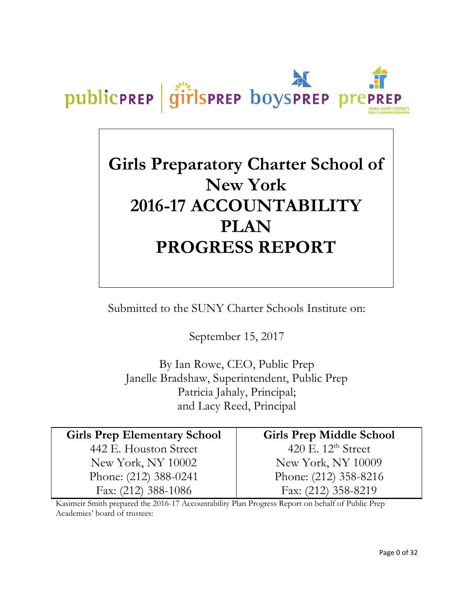

# **Girls Preparatory Charter School of New York 2016-17 ACCOUNTABILITY PLAN PROGRESS REPORT**

Submitted to the SUNY Charter Schools Institute on:

September 15, 2017

By Ian Rowe, CEO, Public Prep Janelle Bradshaw, Superintendent, Public Prep Patricia Jahaly, Principal; and Lacy Reed, Principal

| <b>Girls Prep Elementary School</b> |
|-------------------------------------|
| 442 E. Houston Street               |
| New York, NY 10002                  |
| Phone: (212) 388-0241               |
| Fax: (212) 388-1086                 |

**Girls Prep Middle School** 420 E. 12<sup>th</sup> Street New York, NY 10009 Phone: (212) 358-8216 Fax: (212) 358-8219

Kasimeir Smith prepared the 2016-17 Accountability Plan Progress Report on behalf of Public Prep Academies' board of trustees: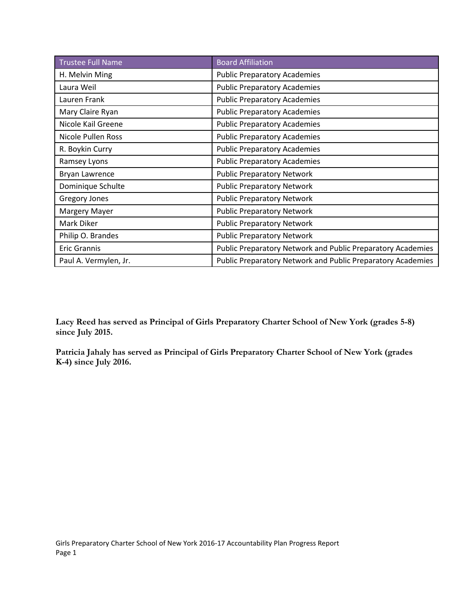| <b>Trustee Full Name</b> | <b>Board Affiliation</b>                                    |
|--------------------------|-------------------------------------------------------------|
| H. Melvin Ming           | <b>Public Preparatory Academies</b>                         |
| Laura Weil               | <b>Public Preparatory Academies</b>                         |
| Lauren Frank             | <b>Public Preparatory Academies</b>                         |
| Mary Claire Ryan         | <b>Public Preparatory Academies</b>                         |
| Nicole Kail Greene       | <b>Public Preparatory Academies</b>                         |
| Nicole Pullen Ross       | <b>Public Preparatory Academies</b>                         |
| R. Boykin Curry          | <b>Public Preparatory Academies</b>                         |
| Ramsey Lyons             | <b>Public Preparatory Academies</b>                         |
| Bryan Lawrence           | <b>Public Preparatory Network</b>                           |
| Dominique Schulte        | <b>Public Preparatory Network</b>                           |
| <b>Gregory Jones</b>     | <b>Public Preparatory Network</b>                           |
| Margery Mayer            | <b>Public Preparatory Network</b>                           |
| Mark Diker               | <b>Public Preparatory Network</b>                           |
| Philip O. Brandes        | <b>Public Preparatory Network</b>                           |
| <b>Eric Grannis</b>      | Public Preparatory Network and Public Preparatory Academies |
| Paul A. Vermylen, Jr.    | Public Preparatory Network and Public Preparatory Academies |

**Lacy Reed has served as Principal of Girls Preparatory Charter School of New York (grades 5-8) since July 2015.**

**Patricia Jahaly has served as Principal of Girls Preparatory Charter School of New York (grades K-4) since July 2016.**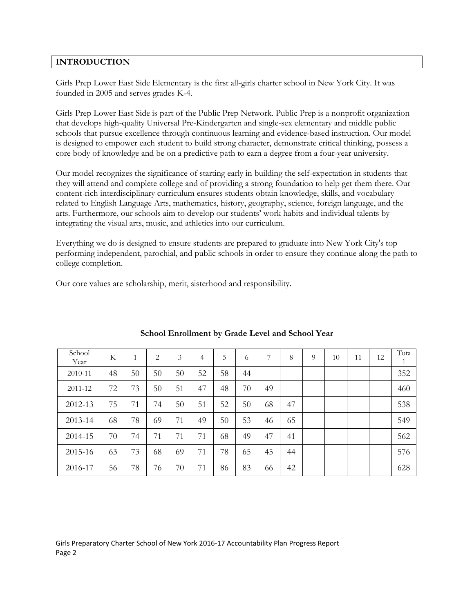# **INTRODUCTION**

Girls Prep Lower East Side Elementary is the first all-girls charter school in New York City. It was founded in 2005 and serves grades K-4.

Girls Prep Lower East Side is part of the Public Prep Network. Public Prep is a nonprofit organization that develops high-quality Universal Pre-Kindergarten and single-sex elementary and middle public schools that pursue excellence through continuous learning and evidence-based instruction. Our model is designed to empower each student to build strong character, demonstrate critical thinking, possess a core body of knowledge and be on a predictive path to earn a degree from a four-year university.

Our model recognizes the significance of starting early in building the self-expectation in students that they will attend and complete college and of providing a strong foundation to help get them there. Our content-rich interdisciplinary curriculum ensures students obtain knowledge, skills, and vocabulary related to English Language Arts, mathematics, history, geography, science, foreign language, and the arts. Furthermore, our schools aim to develop our students' work habits and individual talents by integrating the visual arts, music, and athletics into our curriculum.

Everything we do is designed to ensure students are prepared to graduate into New York City's top performing independent, parochial, and public schools in order to ensure they continue along the path to college completion.

Our core values are scholarship, merit, sisterhood and responsibility.

| School<br>Year | K  | 1  | $\overline{c}$ | 3  | $\overline{4}$ | 5  | 6  | 7  | 8  | $\Omega$ | 10 | 11 | 12 | Tota<br>л. |
|----------------|----|----|----------------|----|----------------|----|----|----|----|----------|----|----|----|------------|
| 2010-11        | 48 | 50 | 50             | 50 | 52             | 58 | 44 |    |    |          |    |    |    | 352        |
| 2011-12        | 72 | 73 | 50             | 51 | 47             | 48 | 70 | 49 |    |          |    |    |    | 460        |
| 2012-13        | 75 | 71 | 74             | 50 | 51             | 52 | 50 | 68 | 47 |          |    |    |    | 538        |
| 2013-14        | 68 | 78 | 69             | 71 | 49             | 50 | 53 | 46 | 65 |          |    |    |    | 549        |
| 2014-15        | 70 | 74 | 71             | 71 | 71             | 68 | 49 | 47 | 41 |          |    |    |    | 562        |
| 2015-16        | 63 | 73 | 68             | 69 | 71             | 78 | 65 | 45 | 44 |          |    |    |    | 576        |
| 2016-17        | 56 | 78 | 76             | 70 | 71             | 86 | 83 | 66 | 42 |          |    |    |    | 628        |

#### **School Enrollment by Grade Level and School Year**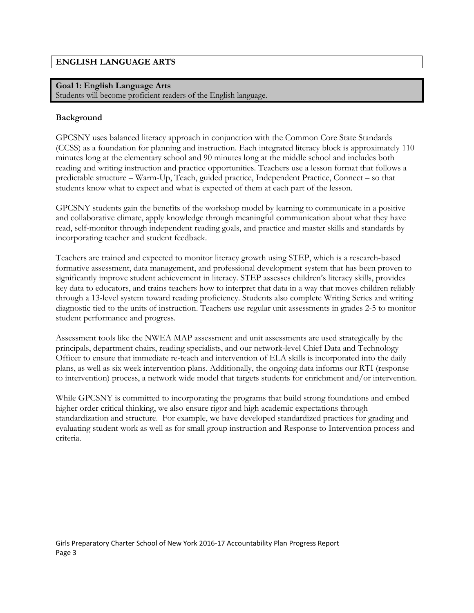## **Goal 1: English Language Arts**

Students will become proficient readers of the English language.

# **Background**

GPCSNY uses balanced literacy approach in conjunction with the Common Core State Standards (CCSS) as a foundation for planning and instruction. Each integrated literacy block is approximately 110 minutes long at the elementary school and 90 minutes long at the middle school and includes both reading and writing instruction and practice opportunities. Teachers use a lesson format that follows a predictable structure – Warm-Up, Teach, guided practice, Independent Practice, Connect – so that students know what to expect and what is expected of them at each part of the lesson.

GPCSNY students gain the benefits of the workshop model by learning to communicate in a positive and collaborative climate, apply knowledge through meaningful communication about what they have read, self-monitor through independent reading goals, and practice and master skills and standards by incorporating teacher and student feedback.

Teachers are trained and expected to monitor literacy growth using STEP, which is a research-based formative assessment, data management, and professional development system that has been proven to significantly improve student achievement in literacy. STEP assesses children's literacy skills, provides key data to educators, and trains teachers how to interpret that data in a way that moves children reliably through a 13-level system toward reading proficiency. Students also complete Writing Series and writing diagnostic tied to the units of instruction. Teachers use regular unit assessments in grades 2-5 to monitor student performance and progress.

Assessment tools like the NWEA MAP assessment and unit assessments are used strategically by the principals, department chairs, reading specialists, and our network-level Chief Data and Technology Officer to ensure that immediate re-teach and intervention of ELA skills is incorporated into the daily plans, as well as six week intervention plans. Additionally, the ongoing data informs our RTI (response to intervention) process, a network wide model that targets students for enrichment and/or intervention.

While GPCSNY is committed to incorporating the programs that build strong foundations and embed higher order critical thinking, we also ensure rigor and high academic expectations through standardization and structure. For example, we have developed standardized practices for grading and evaluating student work as well as for small group instruction and Response to Intervention process and criteria.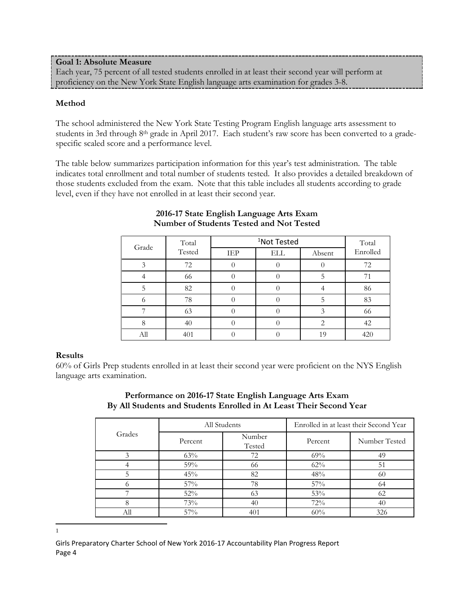**Goal 1: Absolute Measure** Each year, 75 percent of all tested students enrolled in at least their second year will perform at proficiency on the New York State English language arts examination for grades 3-8.

#### **Method**

The school administered the New York State Testing Program English language arts assessment to students in 3rd through 8th grade in April 2017. Each student's raw score has been converted to a gradespecific scaled score and a performance level.

The table below summarizes participation information for this year's test administration. The table indicates total enrollment and total number of students tested. It also provides a detailed breakdown of those students excluded from the exam. Note that this table includes all students according to grade level, even if they have not enrolled in at least their second year.

| Grade | Total  |     | Total |        |          |
|-------|--------|-----|-------|--------|----------|
|       | Tested | IEP | ELL   | Absent | Enrolled |
| 3     | 72     |     |       |        | 72       |
|       | 66     |     |       |        |          |
| 5     | 82     |     |       |        | 86       |
|       | 78     |     |       |        | 83       |
|       | 63     |     |       |        | 66       |
|       | 40     |     |       | 2      | 42       |
| All   | 401    |     |       | 19     | 420      |

## **2016-17 State English Language Arts Exam Number of Students Tested and Not Tested**

#### **Results**

60% of Girls Prep students enrolled in at least their second year were proficient on the NYS English language arts examination.

|        |         | All Students     | Enrolled in at least their Second Year |               |  |  |
|--------|---------|------------------|----------------------------------------|---------------|--|--|
| Grades | Percent | Number<br>Tested | Percent                                | Number Tested |  |  |
| 3      | 63%     | 72               | 69%                                    | 49            |  |  |
|        | 59%     | 66               | 62%                                    | 51            |  |  |
|        | 45%     | 82               | 48%                                    | 60            |  |  |
|        | $57\%$  | 78               | 57%                                    | 64            |  |  |
|        | 52%     | 63               | 53%                                    | 62            |  |  |
|        | 73%     | 40               | 72%                                    | 40            |  |  |
|        | 57%     | 401              | 60%                                    | 326           |  |  |

# **Performance on 2016-17 State English Language Arts Exam By All Students and Students Enrolled in At Least Their Second Year**

<span id="page-4-0"></span> $\frac{1}{1}$  $\mathbf{1}$ 

Girls Preparatory Charter School of New York 2016-17 Accountability Plan Progress Report Page 4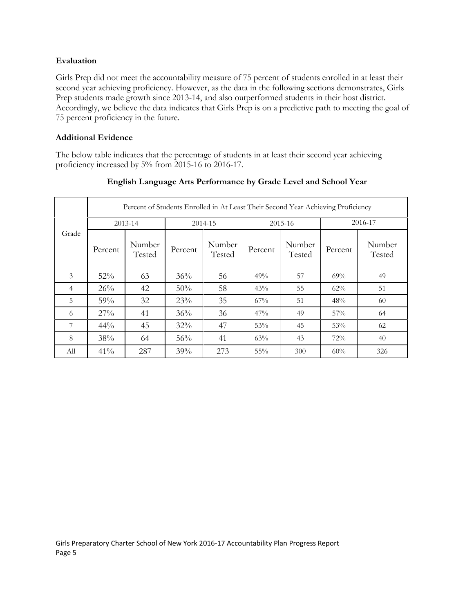## **Evaluation**

Girls Prep did not meet the accountability measure of 75 percent of students enrolled in at least their second year achieving proficiency. However, as the data in the following sections demonstrates, Girls Prep students made growth since 2013-14, and also outperformed students in their host district. Accordingly, we believe the data indicates that Girls Prep is on a predictive path to meeting the goal of 75 percent proficiency in the future.

## **Additional Evidence**

The below table indicates that the percentage of students in at least their second year achieving proficiency increased by 5% from 2015-16 to 2016-17.

|                |         | Percent of Students Enrolled in At Least Their Second Year Achieving Proficiency |         |                  |         |                  |         |                  |  |  |
|----------------|---------|----------------------------------------------------------------------------------|---------|------------------|---------|------------------|---------|------------------|--|--|
|                |         | 2013-14                                                                          |         | 2014-15          |         | 2015-16          |         | 2016-17          |  |  |
| Grade          | Percent | Number<br>Tested                                                                 | Percent | Number<br>Tested | Percent | Number<br>Tested | Percent | Number<br>Tested |  |  |
| 3              | 52%     | 63                                                                               | 36%     | 56               | 49%     | 57               | 69%     | 49               |  |  |
| $\overline{4}$ | 26%     | 42                                                                               | 50%     | 58               | 43%     | 55               | 62%     | 51               |  |  |
| 5              | 59%     | 32                                                                               | 23%     | 35               | 67%     | 51               | 48%     | 60               |  |  |
| 6              | 27%     | 41                                                                               | 36%     | 36               | 47%     | 49               | 57%     | 64               |  |  |
| 7              | $44\%$  | 45                                                                               | 32%     | 47               | 53%     | 45               | 53%     | 62               |  |  |
| 8              | 38%     | 64                                                                               | 56%     | 41               | 63%     | 43               | 72%     | 40               |  |  |
| All            | 41%     | 287                                                                              | 39%     | 273              | 55%     | 300              | 60%     | 326              |  |  |

# **English Language Arts Performance by Grade Level and School Year**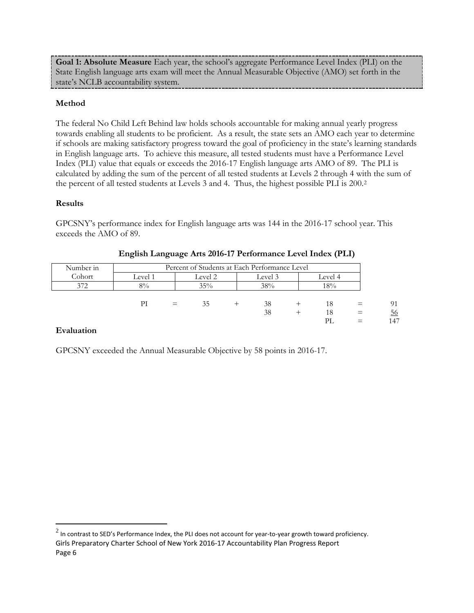**Goal 1: Absolute Measure** Each year, the school's aggregate Performance Level Index (PLI) on the State English language arts exam will meet the Annual Measurable Objective (AMO) set forth in the state's NCLB accountability system.

# **Method**

The federal No Child Left Behind law holds schools accountable for making annual yearly progress towards enabling all students to be proficient. As a result, the state sets an AMO each year to determine if schools are making satisfactory progress toward the goal of proficiency in the state's learning standards in English language arts. To achieve this measure, all tested students must have a Performance Level Index (PLI) value that equals or exceeds the 2016-17 English language arts AMO of 89. The PLI is calculated by adding the sum of the percent of all tested students at Levels 2 through 4 with the sum of the percent of all tested students at Levels 3 and 4. Thus, the highest possible PLI is 200.[2](#page-6-0)

#### **Results**

GPCSNY's performance index for English language arts was 144 in the 2016-17 school year. This exceeds the AMO of 89.

| Number in |         | Percent of Students at Each Performance Level |         |  |         |  |         |  |           |
|-----------|---------|-----------------------------------------------|---------|--|---------|--|---------|--|-----------|
| Cohort    | Level 1 |                                               | Level 2 |  | Level 3 |  | Level 4 |  |           |
| 372       | $8\%$   |                                               | 35%     |  | 38%     |  | 18%     |  |           |
|           |         |                                               |         |  |         |  |         |  |           |
|           | PI      | $=$                                           | 35      |  | 38      |  | 18      |  | 91        |
|           |         |                                               |         |  | 38      |  | 18      |  | <u>56</u> |
|           |         |                                               |         |  |         |  |         |  | 147       |

## **English Language Arts 2016-17 Performance Level Index (PLI)**

#### **Evaluation**

GPCSNY exceeded the Annual Measurable Objective by 58 points in 2016-17.

<span id="page-6-0"></span>Girls Preparatory Charter School of New York 2016-17 Accountability Plan Progress Report Page 6  $2$  In contrast to SED's Performance Index, the PLI does not account for year-to-year growth toward proficiency.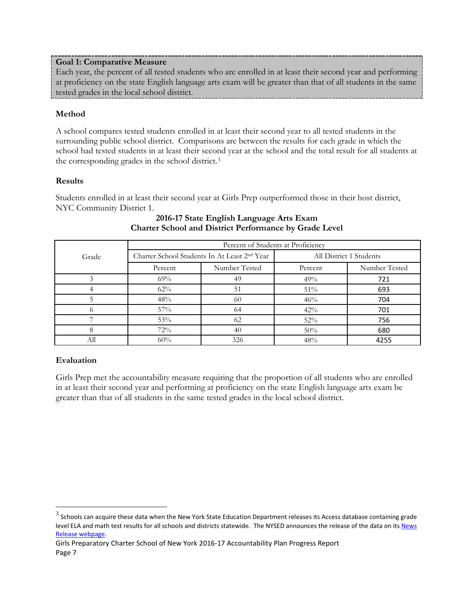## **Goal 1: Comparative Measure**

Each year, the percent of all tested students who are enrolled in at least their second year and performing at proficiency on the state English language arts exam will be greater than that of all students in the same tested grades in the local school district.

# **Method**

A school compares tested students enrolled in at least their second year to all tested students in the surrounding public school district. Comparisons are between the results for each grade in which the school had tested students in at least their second year at the school and the total result for all students at the corresponding grades in the school district.[3](#page-7-0)

# **Results**

Students enrolled in at least their second year at Girls Prep outperformed those in their host district, NYC Community District 1.

|       | Percent of Students at Proficiency |                                                          |                         |               |  |  |  |  |
|-------|------------------------------------|----------------------------------------------------------|-------------------------|---------------|--|--|--|--|
| Grade |                                    | Charter School Students In At Least 2 <sup>nd</sup> Year | All District 1 Students |               |  |  |  |  |
|       | Percent                            | Number Tested                                            | Percent                 | Number Tested |  |  |  |  |
|       | 69%                                | 49                                                       | 49%                     | 721           |  |  |  |  |
|       | $62\%$                             | 51                                                       | 51%                     | 693           |  |  |  |  |
|       | 48%                                | 60                                                       | 46%                     | 704           |  |  |  |  |
|       | 57%                                | 64                                                       | 42%                     | 701           |  |  |  |  |
|       | 53%                                | 62                                                       | 52%                     | 756           |  |  |  |  |
|       | 72%                                | 40                                                       | 50%                     | 680           |  |  |  |  |
| All   | 60%                                | 326                                                      | 48%                     | 4255          |  |  |  |  |

## **2016-17 State English Language Arts Exam Charter School and District Performance by Grade Level**

# **Evaluation**

Girls Prep met the accountability measure requiring that the proportion of all students who are enrolled in at least their second year and performing at proficiency on the state English language arts exam be greater than that of all students in the same tested grades in the local school district.

<span id="page-7-0"></span> $3$  Schools can acquire these data when the New York State Education Department releases its Access database containing grade level ELA and math test results for all schools and districts statewide. The NYSED announces the release of the data on its News [Release webpage.](http://www.oms.nysed.gov/press/)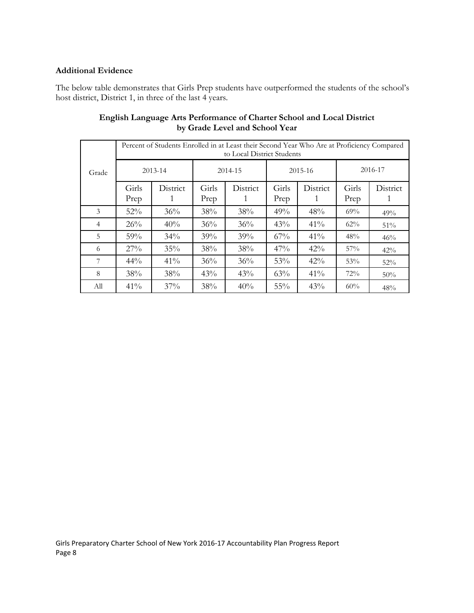## **Additional Evidence**

The below table demonstrates that Girls Prep students have outperformed the students of the school's host district, District 1, in three of the last 4 years.

|                |               | Percent of Students Enrolled in at Least their Second Year Who Are at Proficiency Compared<br>to Local District Students |               |          |               |          |               |          |  |  |  |
|----------------|---------------|--------------------------------------------------------------------------------------------------------------------------|---------------|----------|---------------|----------|---------------|----------|--|--|--|
| Grade          | 2013-14       |                                                                                                                          |               | 2014-15  | 2015-16       |          | 2016-17       |          |  |  |  |
|                | Girls<br>Prep | District                                                                                                                 | Girls<br>Prep | District | Girls<br>Prep | District | Girls<br>Prep | District |  |  |  |
|                |               |                                                                                                                          |               |          |               |          |               |          |  |  |  |
| 3              | 52%           | 36%                                                                                                                      | 38%           | 38%      | 49%           | 48%      | 69%           | 49%      |  |  |  |
| $\overline{4}$ | 26%           | 40%                                                                                                                      | 36%           | 36%      | 43%           | 41%      | 62%           | 51%      |  |  |  |
| 5              | 59%           | 34%                                                                                                                      | 39%           | 39%      | 67%           | 41%      | 48%           | 46%      |  |  |  |
| 6              | 27%           | 35%                                                                                                                      | 38%           | 38%      | 47%           | 42%      | 57%           | 42%      |  |  |  |
| 7              | $44\%$        | $41\%$                                                                                                                   | 36%           | 36%      | 53%           | 42%      | 53%           | 52%      |  |  |  |
| 8              | 38%           | 38%                                                                                                                      | 43%           | 43%      | 63%           | 41%      | 72%           | 50%      |  |  |  |
| All            | $41\%$        | 37%                                                                                                                      | 38%           | 40%      | 55%           | 43%      | 60%           | 48%      |  |  |  |

# **English Language Arts Performance of Charter School and Local District by Grade Level and School Year**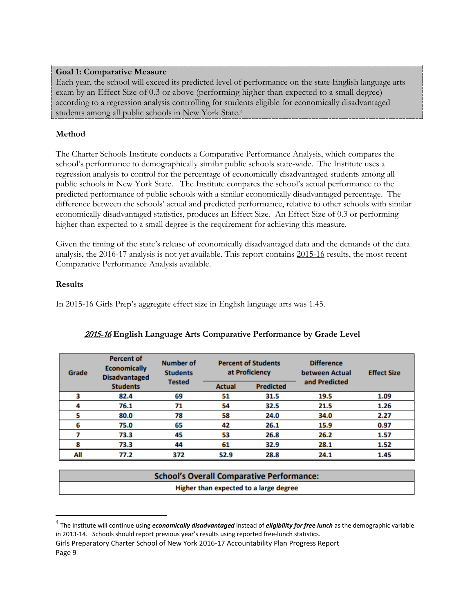# **Goal 1: Comparative Measure**

Each year, the school will exceed its predicted level of performance on the state English language arts exam by an Effect Size of 0.3 or above (performing higher than expected to a small degree) according to a regression analysis controlling for students eligible for economically disadvantaged students among all public schools in New York State[.4](#page-9-0)

# **Method**

The Charter Schools Institute conducts a Comparative Performance Analysis, which compares the school's performance to demographically similar public schools state-wide. The Institute uses a regression analysis to control for the percentage of economically disadvantaged students among all public schools in New York State. The Institute compares the school's actual performance to the predicted performance of public schools with a similar economically disadvantaged percentage. The difference between the schools' actual and predicted performance, relative to other schools with similar economically disadvantaged statistics, produces an Effect Size. An Effect Size of 0.3 or performing higher than expected to a small degree is the requirement for achieving this measure.

Given the timing of the state's release of economically disadvantaged data and the demands of the data analysis, the 2016-17 analysis is not yet available. This report contains 2015-16 results, the most recent Comparative Performance Analysis available.

# **Results**

In 2015-16 Girls Prep's aggregate effect size in English language arts was 1.45.

| Grade | <b>Percent of</b><br><b>Economically</b><br><b>Disadvantaged</b> | <b>Number of</b><br><b>Students</b> | <b>Percent of Students</b><br>at Proficiency |                  | <b>Difference</b><br>between Actual | <b>Effect Size</b> |
|-------|------------------------------------------------------------------|-------------------------------------|----------------------------------------------|------------------|-------------------------------------|--------------------|
|       | <b>Students</b>                                                  | <b>Tested</b>                       | <b>Actual</b>                                | <b>Predicted</b> | and Predicted                       |                    |
|       | 82.4                                                             | 69                                  | 51                                           | 31.5             | 19.5                                | 1.09               |
|       | 76.1                                                             | 71                                  | 54                                           | 32.5             | 21.5                                | 1.26               |
|       | 80.0                                                             | 78                                  | 58                                           | 24.0             | 34.0                                | 2.27               |
| 6     | 75.0                                                             | 65                                  | 42                                           | 26.1             | 15.9                                | 0.97               |
|       | 73.3                                                             | 45                                  | 53                                           | 26.8             | 26.2                                | 1.57               |
| 8     | 73.3                                                             | 44                                  | 61                                           | 32.9             | 28.1                                | 1.52               |
| All   | 77.2                                                             | 372                                 | 52.9                                         | 28.8             | 24.1                                | 1.45               |

# 2015-16 **English Language Arts Comparative Performance by Grade Level**

| <b>School's Overall Comparative Performance:</b> |  |
|--------------------------------------------------|--|
| Higher than expected to a large degree           |  |

<span id="page-9-0"></span> <sup>4</sup> The Institute will continue using *economically disadvantaged* instead of *eligibility for free lunch* as the demographic variable in 2013-14. Schools should report previous year's results using reported free-lunch statistics.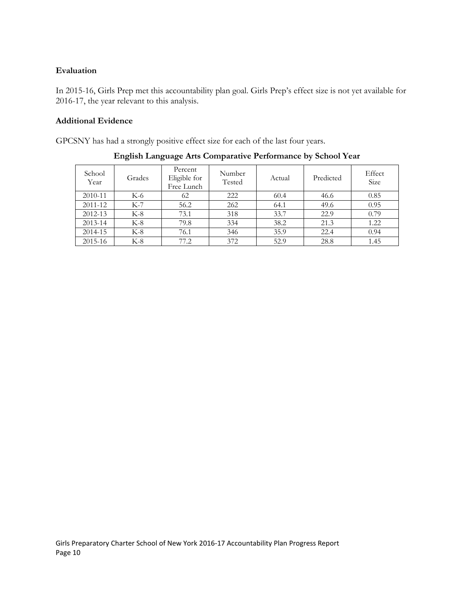# **Evaluation**

In 2015-16, Girls Prep met this accountability plan goal. Girls Prep's effect size is not yet available for 2016-17, the year relevant to this analysis.

## **Additional Evidence**

GPCSNY has had a strongly positive effect size for each of the last four years.

| School<br>Year | Grades | Percent<br>Eligible for<br>Free Lunch | Number<br>Tested | Actual | Predicted | Effect<br>Size |
|----------------|--------|---------------------------------------|------------------|--------|-----------|----------------|
| 2010-11        | K-6    | 62                                    | 222              | 60.4   | 46.6      | 0.85           |
| 2011-12        | $K-7$  | 56.2                                  | 262              | 64.1   | 49.6      | 0.95           |
| 2012-13        | $K-8$  | 73.1                                  | 318              | 33.7   | 22.9      | 0.79           |
| 2013-14        | $K-8$  | 79.8                                  | 334              | 38.2   | 21.3      | 1.22           |
| 2014-15        | $K-8$  | 76.1                                  | 346              | 35.9   | 22.4      | 0.94           |
| 2015-16        | $K-8$  | 77.2                                  | 372              | 52.9   | 28.8      | 1.45           |

**English Language Arts Comparative Performance by School Year**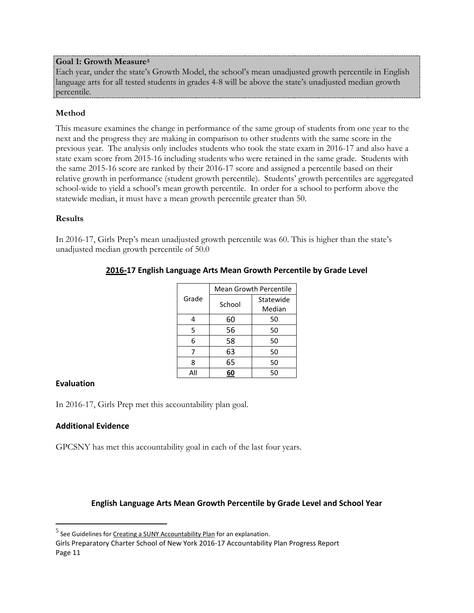## **Goal 1: Growth Measure[5](#page-11-0)**

Each year, under the state's Growth Model, the school's mean unadjusted growth percentile in English language arts for all tested students in grades 4-8 will be above the state's unadjusted median growth percentile.

# **Method**

This measure examines the change in performance of the same group of students from one year to the next and the progress they are making in comparison to other students with the same score in the previous year. The analysis only includes students who took the state exam in 2016-17 and also have a state exam score from 2015-16 including students who were retained in the same grade. Students with the same 2015-16 score are ranked by their 2016-17 score and assigned a percentile based on their relative growth in performance (student growth percentile). Students' growth percentiles are aggregated school-wide to yield a school's mean growth percentile. In order for a school to perform above the statewide median, it must have a mean growth percentile greater than 50.

## **Results**

In 2016-17, Girls Prep's mean unadjusted growth percentile was 60. This is higher than the state's unadjusted median growth percentile of 50.0

|       |        | <b>Mean Growth Percentile</b> |  |  |  |  |
|-------|--------|-------------------------------|--|--|--|--|
| Grade | School | Statewide                     |  |  |  |  |
|       |        | Median                        |  |  |  |  |
| 4     | 60     | 50                            |  |  |  |  |
| 5     | 56     | 50                            |  |  |  |  |
| 6     | 58     | 50                            |  |  |  |  |
| 7     | 63     | 50                            |  |  |  |  |
| 8     | 65     | 50                            |  |  |  |  |
|       |        | 50                            |  |  |  |  |

# **2016-17 English Language Arts Mean Growth Percentile by Grade Level**

#### **Evaluation**

In 2016-17, Girls Prep met this accountability plan goal.

# **Additional Evidence**

GPCSNY has met this accountability goal in each of the last four years.

# **English Language Arts Mean Growth Percentile by Grade Level and School Year**

<span id="page-11-0"></span><sup>&</sup>lt;sup>5</sup> See Guidelines fo[r Creating a SUNY Accountability Plan](http://www.newyorkcharters.org/operate/first-year-schools/accountability-plan/) for an explanation.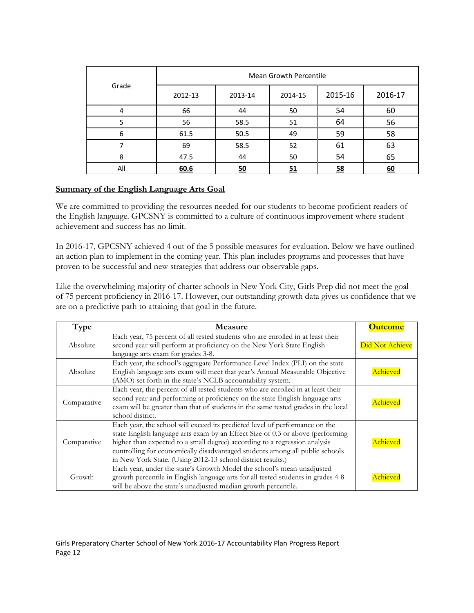|       | <b>Mean Growth Percentile</b> |           |         |           |         |  |  |  |
|-------|-------------------------------|-----------|---------|-----------|---------|--|--|--|
| Grade | 2012-13                       | 2013-14   | 2014-15 | 2015-16   | 2016-17 |  |  |  |
|       | 66                            | 44        | 50      | 54        | 60      |  |  |  |
| 5     | 56                            | 58.5      | 51      | 64        | 56      |  |  |  |
| 6     | 61.5                          | 50.5      | 49      | 59        | 58      |  |  |  |
|       | 69                            | 58.5      | 52      | 61        | 63      |  |  |  |
| 8     | 47.5                          | 44        | 50      | 54        | 65      |  |  |  |
| All   | 60.6                          | <u>50</u> | 51      | <u>58</u> | 60      |  |  |  |

# **Summary of the English Language Arts Goal**

We are committed to providing the resources needed for our students to become proficient readers of the English language. GPCSNY is committed to a culture of continuous improvement where student achievement and success has no limit.

In 2016-17, GPCSNY achieved 4 out of the 5 possible measures for evaluation. Below we have outlined an action plan to implement in the coming year. This plan includes programs and processes that have proven to be successful and new strategies that address our observable gaps.

Like the overwhelming majority of charter schools in New York City, Girls Prep did not meet the goal of 75 percent proficiency in 2016-17. However, our outstanding growth data gives us confidence that we are on a predictive path to attaining that goal in the future.

| Type        | Measure                                                                                                                                                                                                                                                                                                                                                                                    | <b>Outcome</b>  |
|-------------|--------------------------------------------------------------------------------------------------------------------------------------------------------------------------------------------------------------------------------------------------------------------------------------------------------------------------------------------------------------------------------------------|-----------------|
| Absolute    | Each year, 75 percent of all tested students who are enrolled in at least their<br>second year will perform at proficiency on the New York State English<br>language arts exam for grades 3-8.                                                                                                                                                                                             | Did Not Achieve |
| Absolute    | Each year, the school's aggregate Performance Level Index (PLI) on the state<br>English language arts exam will meet that year's Annual Measurable Objective<br>(AMO) set forth in the state's NCLB accountability system.                                                                                                                                                                 | Achieved        |
| Comparative | Each year, the percent of all tested students who are enrolled in at least their<br>second year and performing at proficiency on the state English language arts<br>exam will be greater than that of students in the same tested grades in the local<br>school district.                                                                                                                  | Achieved        |
| Comparative | Each year, the school will exceed its predicted level of performance on the<br>state English language arts exam by an Effect Size of 0.3 or above (performing<br>higher than expected to a small degree) according to a regression analysis<br>controlling for economically disadvantaged students among all public schools<br>in New York State. (Using 2012-13 school district results.) | Achieved        |
| Growth      | Each year, under the state's Growth Model the school's mean unadjusted<br>growth percentile in English language arts for all tested students in grades 4-8<br>will be above the state's unadjusted median growth percentile.                                                                                                                                                               | Achieved        |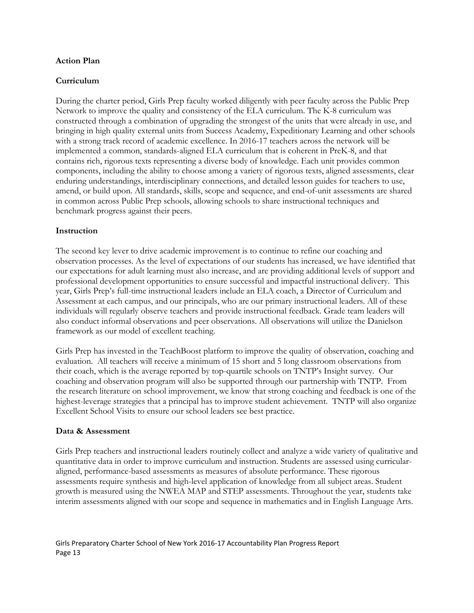#### **Action Plan**

## **Curriculum**

During the charter period, Girls Prep faculty worked diligently with peer faculty across the Public Prep Network to improve the quality and consistency of the ELA curriculum. The K-8 curriculum was constructed through a combination of upgrading the strongest of the units that were already in use, and bringing in high quality external units from Success Academy, Expeditionary Learning and other schools with a strong track record of academic excellence. In 2016-17 teachers across the network will be implemented a common, standards-aligned ELA curriculum that is coherent in PreK-8, and that contains rich, rigorous texts representing a diverse body of knowledge. Each unit provides common components, including the ability to choose among a variety of rigorous texts, aligned assessments, clear enduring understandings, interdisciplinary connections, and detailed lesson guides for teachers to use, amend, or build upon. All standards, skills, scope and sequence, and end-of-unit assessments are shared in common across Public Prep schools, allowing schools to share instructional techniques and benchmark progress against their peers.

## **Instruction**

The second key lever to drive academic improvement is to continue to refine our coaching and observation processes. As the level of expectations of our students has increased, we have identified that our expectations for adult learning must also increase, and are providing additional levels of support and professional development opportunities to ensure successful and impactful instructional delivery. This year, Girls Prep's full-time instructional leaders include an ELA coach, a Director of Curriculum and Assessment at each campus, and our principals, who are our primary instructional leaders. All of these individuals will regularly observe teachers and provide instructional feedback. Grade team leaders will also conduct informal observations and peer observations. All observations will utilize the Danielson framework as our model of excellent teaching.

Girls Prep has invested in the TeachBoost platform to improve the quality of observation, coaching and evaluation. All teachers will receive a minimum of 15 short and 5 long classroom observations from their coach, which is the average reported by top-quartile schools on TNTP's Insight survey. Our coaching and observation program will also be supported through our partnership with TNTP. From the research literature on school improvement, we know that strong coaching and feedback is one of the highest-leverage strategies that a principal has to improve student achievement. TNTP will also organize Excellent School Visits to ensure our school leaders see best practice.

#### **Data & Assessment**

Girls Prep teachers and instructional leaders routinely collect and analyze a wide variety of qualitative and quantitative data in order to improve curriculum and instruction. Students are assessed using curricularaligned, performance-based assessments as measures of absolute performance. These rigorous assessments require synthesis and high-level application of knowledge from all subject areas. Student growth is measured using the NWEA MAP and STEP assessments. Throughout the year, students take interim assessments aligned with our scope and sequence in mathematics and in English Language Arts.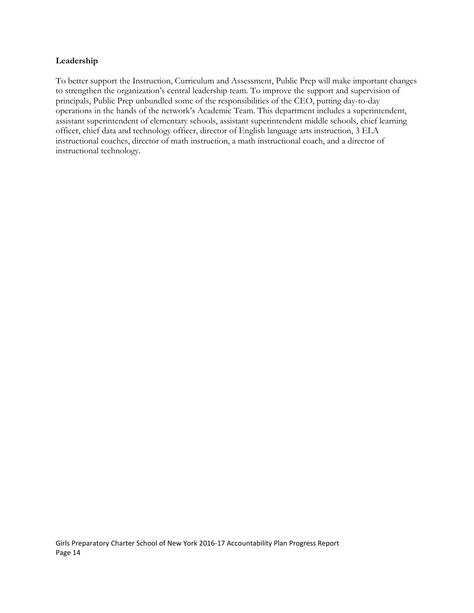## **Leadership**

To better support the Instruction, Curriculum and Assessment, Public Prep will make important changes to strengthen the organization's central leadership team. To improve the support and supervision of principals, Public Prep unbundled some of the responsibilities of the CEO, putting day-to-day operations in the hands of the network's Academic Team. This department includes a superintendent, assistant superintendent of elementary schools, assistant superintendent middle schools, chief learning officer, chief data and technology officer, director of English language arts instruction, 3 ELA instructional coaches, director of math instruction, a math instructional coach, and a director of instructional technology.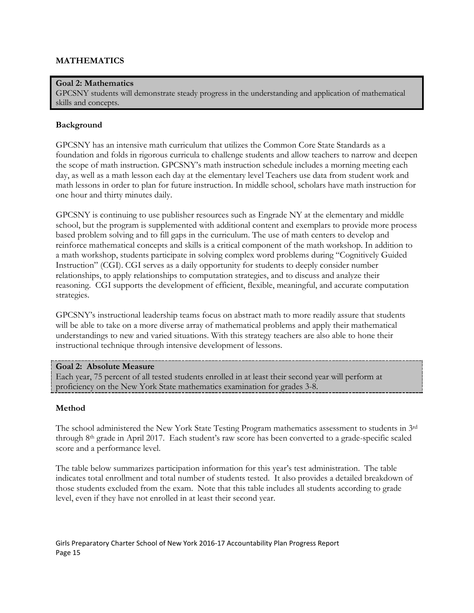## **MATHEMATICS**

## **Goal 2: Mathematics**

GPCSNY students will demonstrate steady progress in the understanding and application of mathematical skills and concepts.

#### **Background**

GPCSNY has an intensive math curriculum that utilizes the Common Core State Standards as a foundation and folds in rigorous curricula to challenge students and allow teachers to narrow and deepen the scope of math instruction. GPCSNY's math instruction schedule includes a morning meeting each day, as well as a math lesson each day at the elementary level Teachers use data from student work and math lessons in order to plan for future instruction. In middle school, scholars have math instruction for one hour and thirty minutes daily.

GPCSNY is continuing to use publisher resources such as Engrade NY at the elementary and middle school, but the program is supplemented with additional content and exemplars to provide more process based problem solving and to fill gaps in the curriculum. The use of math centers to develop and reinforce mathematical concepts and skills is a critical component of the math workshop. In addition to a math workshop, students participate in solving complex word problems during "Cognitively Guided Instruction" (CGI). CGI serves as a daily opportunity for students to deeply consider number relationships, to apply relationships to computation strategies, and to discuss and analyze their reasoning. CGI supports the development of efficient, flexible, meaningful, and accurate computation strategies.

GPCSNY's instructional leadership teams focus on abstract math to more readily assure that students will be able to take on a more diverse array of mathematical problems and apply their mathematical understandings to new and varied situations. With this strategy teachers are also able to hone their instructional technique through intensive development of lessons.

#### **Goal 2: Absolute Measure**

Each year, 75 percent of all tested students enrolled in at least their second year will perform at proficiency on the New York State mathematics examination for grades 3-8.

#### **Method**

The school administered the New York State Testing Program mathematics assessment to students in 3rd through 8th grade in April 2017. Each student's raw score has been converted to a grade-specific scaled score and a performance level.

The table below summarizes participation information for this year's test administration. The table indicates total enrollment and total number of students tested. It also provides a detailed breakdown of those students excluded from the exam. Note that this table includes all students according to grade level, even if they have not enrolled in at least their second year.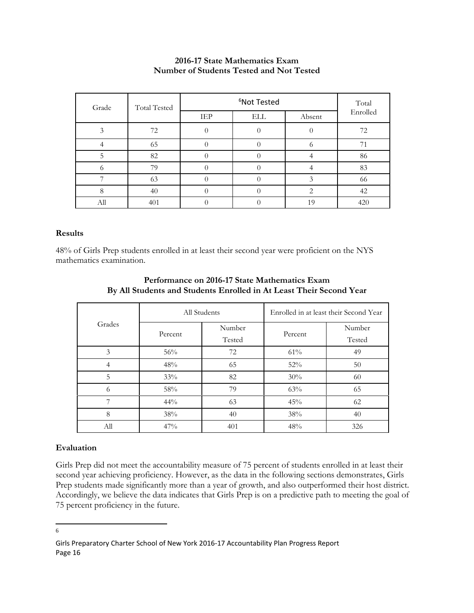## **2016-17 State Mathematics Exam Number of Students Tested and Not Tested**

| Grade | <b>Total Tested</b> |     | Total      |        |          |
|-------|---------------------|-----|------------|--------|----------|
|       |                     | IEP | <b>ELL</b> | Absent | Enrolled |
| 3     | 72                  |     |            |        | 72       |
|       | 65                  |     |            | O      | 71       |
| 5     | 82                  |     |            |        | 86       |
| O     | 79                  |     |            |        | 83       |
|       | 63                  |     |            | 3      | 66       |
| 8     | 40                  |     |            | 2      | 42       |
| All   | 401                 |     |            | 19     | 420      |

#### **Results**

48% of Girls Prep students enrolled in at least their second year were proficient on the NYS mathematics examination.

|        |         | All Students | Enrolled in at least their Second Year |        |  |
|--------|---------|--------------|----------------------------------------|--------|--|
| Grades |         | Number       |                                        | Number |  |
|        | Percent | Tested       | Percent                                | Tested |  |
| 3      | 56%     | 72           | $61\%$                                 | 49     |  |
|        | 48%     | 65           | 52%                                    | 50     |  |
| 5      | 33%     | 82           | 30%                                    | 60     |  |
| 6      | 58%     | 79           | 63%                                    | 65     |  |
|        | $44\%$  | 63           | 45%                                    | 62     |  |
| 8      | 38%     | 40           | 38%                                    | 40     |  |
| All    | 47%     | 401          | 48%                                    | 326    |  |

## **Performance on 2016-17 State Mathematics Exam By All Students and Students Enrolled in At Least Their Second Year**

# **Evaluation**

Girls Prep did not meet the accountability measure of 75 percent of students enrolled in at least their second year achieving proficiency. However, as the data in the following sections demonstrates, Girls Prep students made significantly more than a year of growth, and also outperformed their host district. Accordingly, we believe the data indicates that Girls Prep is on a predictive path to meeting the goal of 75 percent proficiency in the future.

<span id="page-16-0"></span> <sup>6</sup> $\sqrt{6}$ 

Girls Preparatory Charter School of New York 2016-17 Accountability Plan Progress Report Page 16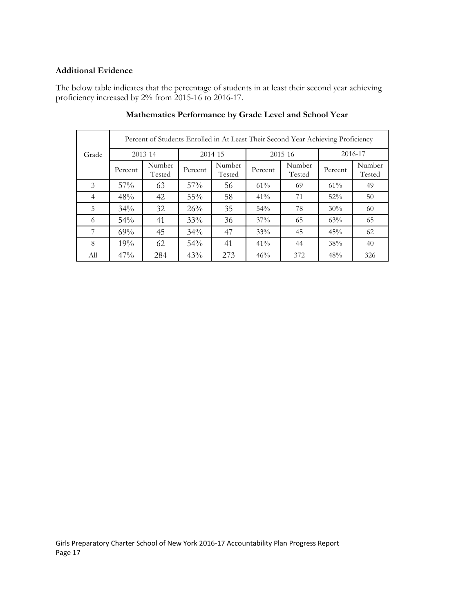## **Additional Evidence**

The below table indicates that the percentage of students in at least their second year achieving proficiency increased by 2% from 2015-16 to 2016-17.

|                | Percent of Students Enrolled in At Least Their Second Year Achieving Proficiency |                  |         |                  |         |                  |         |                  |  |
|----------------|----------------------------------------------------------------------------------|------------------|---------|------------------|---------|------------------|---------|------------------|--|
| Grade          |                                                                                  | 2013-14          |         | 2014-15          |         | 2015-16          |         | 2016-17          |  |
|                | Percent                                                                          | Number<br>Tested | Percent | Number<br>Tested | Percent | Number<br>Tested | Percent | Number<br>Tested |  |
| 3              | $57\%$                                                                           | 63               | 57%     | 56               | $61\%$  | 69               | 61%     | 49               |  |
| $\overline{4}$ | 48%                                                                              | 42               | $55\%$  | 58               | 41%     | 71               | 52%     | 50               |  |
| 5              | $34\%$                                                                           | 32               | 26%     | 35               | 54%     | 78               | 30%     | 60               |  |
| 6              | 54%                                                                              | 41               | 33%     | 36               | 37%     | 65               | 63%     | 65               |  |
| 7              | 69%                                                                              | 45               | 34%     | 47               | 33%     | 45               | 45%     | 62               |  |
| 8              | 19%                                                                              | 62               | 54%     | 41               | 41%     | 44               | 38%     | 40               |  |
| All            | 47%                                                                              | 284              | 43%     | 273              | 46%     | 372              | 48%     | 326              |  |

## **Mathematics Performance by Grade Level and School Year**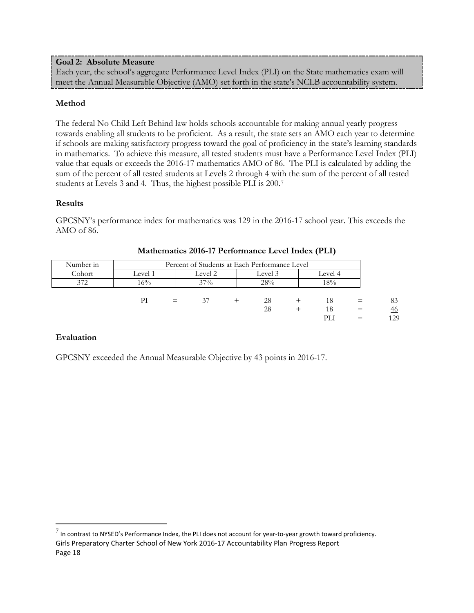## **Goal 2: Absolute Measure**

Each year, the school's aggregate Performance Level Index (PLI) on the State mathematics exam will meet the Annual Measurable Objective (AMO) set forth in the state's NCLB accountability system.

## **Method**

The federal No Child Left Behind law holds schools accountable for making annual yearly progress towards enabling all students to be proficient. As a result, the state sets an AMO each year to determine if schools are making satisfactory progress toward the goal of proficiency in the state's learning standards in mathematics. To achieve this measure, all tested students must have a Performance Level Index (PLI) value that equals or exceeds the 2016-17 mathematics AMO of 86. The PLI is calculated by adding the sum of the percent of all tested students at Levels 2 through 4 with the sum of the percent of all tested students at Levels 3 and 4. Thus, the highest possible PLI is 200.[7](#page-18-0)

#### **Results**

GPCSNY's performance index for mathematics was 129 in the 2016-17 school year. This exceeds the AMO of 86.

| Number in | Percent of Students at Each Performance Level |  |                    |  |     |  |         |     |     |
|-----------|-----------------------------------------------|--|--------------------|--|-----|--|---------|-----|-----|
| Cohort    | Level 1                                       |  | Level 2<br>Level 3 |  |     |  | Level 4 |     |     |
| 372       | 16%                                           |  | $37\%$             |  | 28% |  | 8%      |     |     |
|           |                                               |  |                    |  |     |  |         |     |     |
|           | РI                                            |  | 37                 |  | 28  |  | 18      |     | 83  |
|           |                                               |  |                    |  | 28  |  | 18      | $=$ | 46  |
|           |                                               |  |                    |  |     |  | PL)     |     | 129 |

#### **Mathematics 2016-17 Performance Level Index (PLI)**

#### **Evaluation**

GPCSNY exceeded the Annual Measurable Objective by 43 points in 2016-17.

<span id="page-18-0"></span>Girls Preparatory Charter School of New York 2016-17 Accountability Plan Progress Report Page 18  $^7$  In contrast to NYSED's Performance Index, the PLI does not account for year-to-year growth toward proficiency.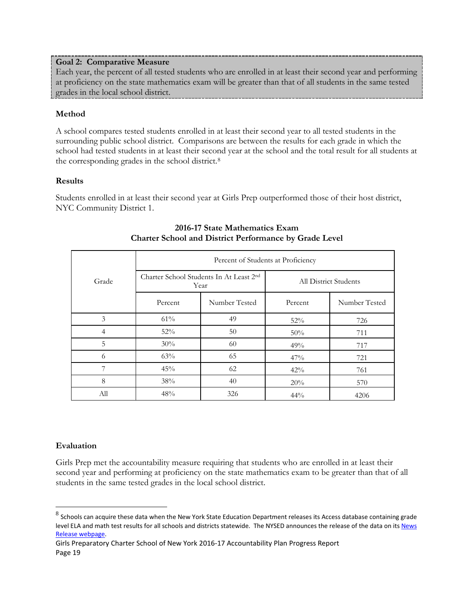## **Goal 2: Comparative Measure**

Each year, the percent of all tested students who are enrolled in at least their second year and performing at proficiency on the state mathematics exam will be greater than that of all students in the same tested grades in the local school district.

# **Method**

A school compares tested students enrolled in at least their second year to all tested students in the surrounding public school district. Comparisons are between the results for each grade in which the school had tested students in at least their second year at the school and the total result for all students at the corresponding grades in the school district.[8](#page-19-0)

# **Results**

Students enrolled in at least their second year at Girls Prep outperformed those of their host district, NYC Community District 1.

|                | Percent of Students at Proficiency |                                                 |                              |               |  |  |  |  |  |
|----------------|------------------------------------|-------------------------------------------------|------------------------------|---------------|--|--|--|--|--|
| Grade          |                                    | Charter School Students In At Least 2nd<br>Year | <b>All District Students</b> |               |  |  |  |  |  |
|                | Percent                            | Number Tested                                   | Percent                      | Number Tested |  |  |  |  |  |
| 3              | 61%                                | 49                                              | 52%                          | 726           |  |  |  |  |  |
| $\overline{4}$ | 52%                                | 50                                              | 50%                          | 711           |  |  |  |  |  |
| 5              | 30%                                | 60                                              | 49%                          | 717           |  |  |  |  |  |
| 6              | 63%                                | 65                                              | 47%                          | 721           |  |  |  |  |  |
| 7              | 45%                                | 62                                              | 42%                          | 761           |  |  |  |  |  |
| 8              | 38%                                | 40                                              | 20%                          | 570           |  |  |  |  |  |
| All            | 48%                                | 326                                             | 44%                          | 4206          |  |  |  |  |  |

# **2016-17 State Mathematics Exam Charter School and District Performance by Grade Level**

# **Evaluation**

Girls Prep met the accountability measure requiring that students who are enrolled in at least their second year and performing at proficiency on the state mathematics exam to be greater than that of all students in the same tested grades in the local school district.

<span id="page-19-0"></span> $8$  Schools can acquire these data when the New York State Education Department releases its Access database containing grade level ELA and math test results for all schools and districts statewide. The NYSED announces the release of the data on its News [Release webpage.](http://www.oms.nysed.gov/press/)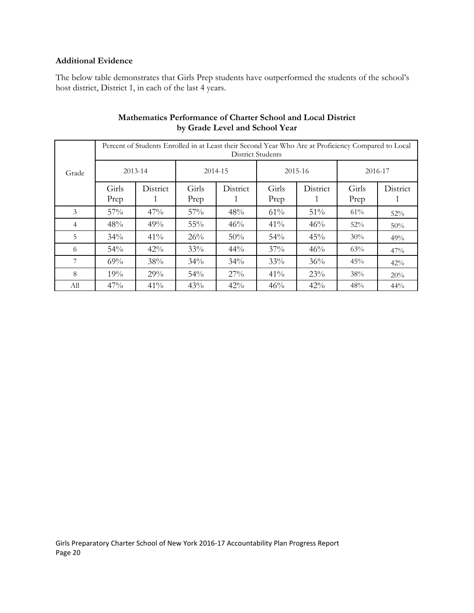## **Additional Evidence**

The below table demonstrates that Girls Prep students have outperformed the students of the school's host district, District 1, in each of the last 4 years.

|                |         | Percent of Students Enrolled in at Least their Second Year Who Are at Proficiency Compared to Local<br><b>District Students</b> |         |          |         |          |         |          |  |  |  |  |
|----------------|---------|---------------------------------------------------------------------------------------------------------------------------------|---------|----------|---------|----------|---------|----------|--|--|--|--|
| Grade          | 2013-14 |                                                                                                                                 | 2014-15 |          | 2015-16 |          | 2016-17 |          |  |  |  |  |
|                | Girls   | District                                                                                                                        | Girls   | District | Girls   | District | Girls   | District |  |  |  |  |
|                | Prep    |                                                                                                                                 | Prep    |          | Prep    |          | Prep    |          |  |  |  |  |
| 3              | 57%     | 47%                                                                                                                             | 57%     | 48%      | 61%     | 51%      | 61%     | 52%      |  |  |  |  |
| $\overline{4}$ | 48%     | 49%                                                                                                                             | 55%     | 46%      | 41%     | 46%      | 52%     | 50%      |  |  |  |  |
| 5              | 34%     | 41%                                                                                                                             | 26%     | 50%      | 54%     | 45%      | 30%     | 49%      |  |  |  |  |
| 6              | 54%     | 42%                                                                                                                             | 33%     | $44\%$   | 37%     | 46%      | 63%     | 47%      |  |  |  |  |
| 7              | 69%     | 38%                                                                                                                             | 34%     | 34%      | 33%     | 36%      | 45%     | 42%      |  |  |  |  |
| 8              | 19%     | 29%                                                                                                                             | 54%     | 27%      | 41%     | 23%      | 38%     | 20%      |  |  |  |  |
| All            | 47%     | 41%                                                                                                                             | 43%     | $42\%$   | 46%     | 42%      | 48%     | $44\%$   |  |  |  |  |

# **Mathematics Performance of Charter School and Local District by Grade Level and School Year**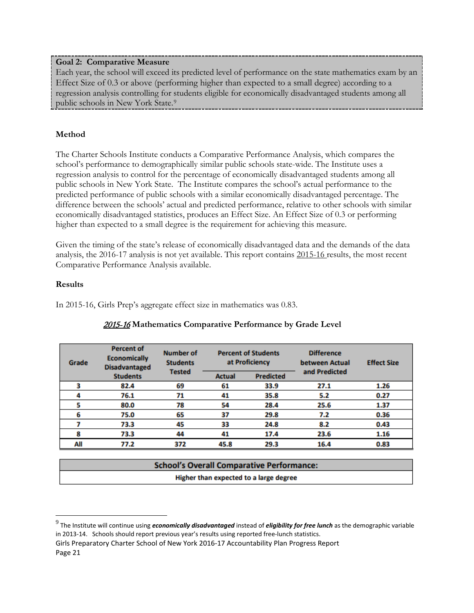## **Goal 2: Comparative Measure**

Each year, the school will exceed its predicted level of performance on the state mathematics exam by an Effect Size of 0.3 or above (performing higher than expected to a small degree) according to a regression analysis controlling for students eligible for economically disadvantaged students among all public schools in New York State.<sup>[9](#page-21-0)</sup>

# **Method**

The Charter Schools Institute conducts a Comparative Performance Analysis, which compares the school's performance to demographically similar public schools state-wide. The Institute uses a regression analysis to control for the percentage of economically disadvantaged students among all public schools in New York State. The Institute compares the school's actual performance to the predicted performance of public schools with a similar economically disadvantaged percentage. The difference between the schools' actual and predicted performance, relative to other schools with similar economically disadvantaged statistics, produces an Effect Size. An Effect Size of 0.3 or performing higher than expected to a small degree is the requirement for achieving this measure.

Given the timing of the state's release of economically disadvantaged data and the demands of the data analysis, the 2016-17 analysis is not yet available. This report contains 2015-16 results, the most recent Comparative Performance Analysis available.

## **Results**

In 2015-16, Girls Prep's aggregate effect size in mathematics was 0.83.

| <b>Percent of</b><br><b>Economically</b><br>Grade<br><b>Disadvantaged</b> |                 | <b>Number of</b><br><b>Students</b> | <b>Percent of Students</b><br>at Proficiency |                  | <b>Difference</b><br>between Actual |      |
|---------------------------------------------------------------------------|-----------------|-------------------------------------|----------------------------------------------|------------------|-------------------------------------|------|
|                                                                           | <b>Students</b> | <b>Tested</b>                       | <b>Actual</b>                                | <b>Predicted</b> | and Predicted                       |      |
|                                                                           | 82.4            | 69                                  | 61                                           | 33.9             | 27.1                                | 1.26 |
|                                                                           | 76.1            | 71                                  | 41                                           | 35.8             | 5.2                                 | 0.27 |
|                                                                           | 80.0            | 78                                  | 54                                           | 28.4             | 25.6                                | 1.37 |
| 6                                                                         | 75.0            | 65                                  | 37                                           | 29.8             | 7.2                                 | 0.36 |
|                                                                           | 73.3            | 45                                  | 33                                           | 24.8             | 8.2                                 | 0.43 |
| 8                                                                         | 73.3            | 44                                  | 41                                           | 17.4             | 23.6                                | 1.16 |
| All                                                                       | 77.2            | 372                                 | 45.8                                         | 29.3             | 16.4                                | 0.83 |

# 2015-16 **Mathematics Comparative Performance by Grade Level**

| <b>School's Overall Comparative Performance:</b> |
|--------------------------------------------------|
| Higher than expected to a large degree           |

<span id="page-21-0"></span> <sup>9</sup> The Institute will continue using *economically disadvantaged* instead of *eligibility for free lunch* as the demographic variable in 2013-14. Schools should report previous year's results using reported free-lunch statistics.

Girls Preparatory Charter School of New York 2016-17 Accountability Plan Progress Report Page 21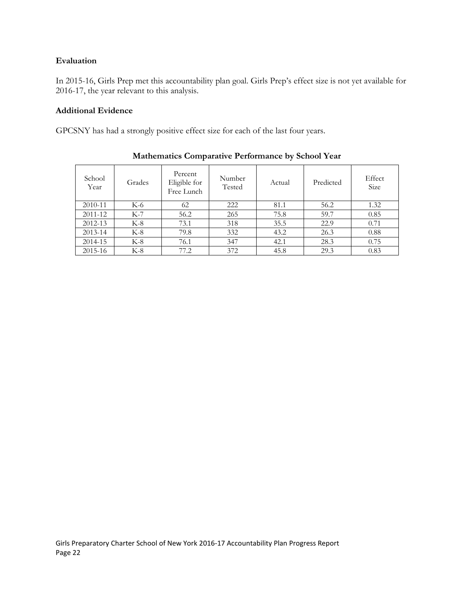# **Evaluation**

In 2015-16, Girls Prep met this accountability plan goal. Girls Prep's effect size is not yet available for 2016-17, the year relevant to this analysis.

# **Additional Evidence**

GPCSNY has had a strongly positive effect size for each of the last four years.

| School<br>Year | Grades | Percent<br>Eligible for<br>Free Lunch | Number<br>Tested | Actual | Predicted | Effect<br>Size |
|----------------|--------|---------------------------------------|------------------|--------|-----------|----------------|
| 2010-11        | K-6    | 62                                    | 222              | 81.1   | 56.2      | 1.32           |
| 2011-12        | $K-7$  | 56.2                                  | 265              | 75.8   | 59.7      | 0.85           |
| 2012-13        | $K-8$  | 73.1                                  | 318              | 35.5   | 22.9      | 0.71           |
| 2013-14        | $K-8$  | 79.8                                  | 332              | 43.2   | 26.3      | 0.88           |
| 2014-15        | $K-8$  | 76.1                                  | 347              | 42.1   | 28.3      | 0.75           |
| 2015-16        | $K-8$  | 77.2                                  | 372              | 45.8   | 29.3      | 0.83           |

# **Mathematics Comparative Performance by School Year**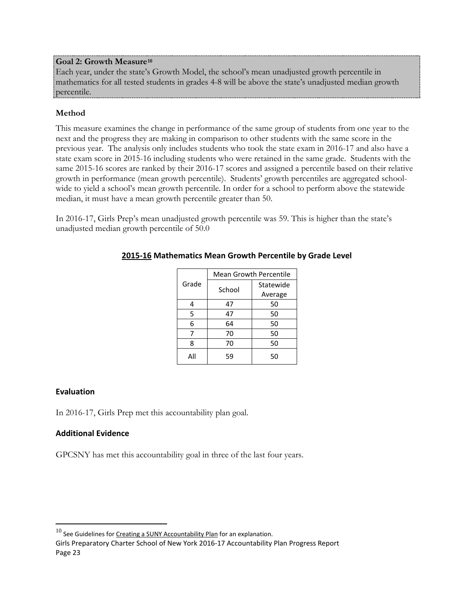## **Goal 2: Growth Measure[10](#page-23-0)**

Each year, under the state's Growth Model, the school's mean unadjusted growth percentile in mathematics for all tested students in grades 4-8 will be above the state's unadjusted median growth percentile.

# **Method**

This measure examines the change in performance of the same group of students from one year to the next and the progress they are making in comparison to other students with the same score in the previous year. The analysis only includes students who took the state exam in 2016-17 and also have a state exam score in 2015-16 including students who were retained in the same grade. Students with the same 2015-16 scores are ranked by their 2016-17 scores and assigned a percentile based on their relative growth in performance (mean growth percentile). Students' growth percentiles are aggregated schoolwide to yield a school's mean growth percentile. In order for a school to perform above the statewide median, it must have a mean growth percentile greater than 50.

In 2016-17, Girls Prep's mean unadjusted growth percentile was 59. This is higher than the state's unadjusted median growth percentile of 50.0

|       | <b>Mean Growth Percentile</b> |           |  |  |
|-------|-------------------------------|-----------|--|--|
| Grade | School                        | Statewide |  |  |
|       |                               | Average   |  |  |
| 4     | 47                            | 50        |  |  |
| 5     | 47                            | 50        |  |  |
| 6     | 64                            | 50        |  |  |
| 7     | 70                            | 50        |  |  |
| 8     | 70                            | 50        |  |  |
| All   | 59                            | 50        |  |  |

# **2015-16 Mathematics Mean Growth Percentile by Grade Level**

#### **Evaluation**

In 2016-17, Girls Prep met this accountability plan goal.

# **Additional Evidence**

GPCSNY has met this accountability goal in three of the last four years.

<span id="page-23-0"></span> $10$  See Guidelines for [Creating a SUNY Accountability Plan](http://www.newyorkcharters.org/operate/first-year-schools/accountability-plan/) for an explanation.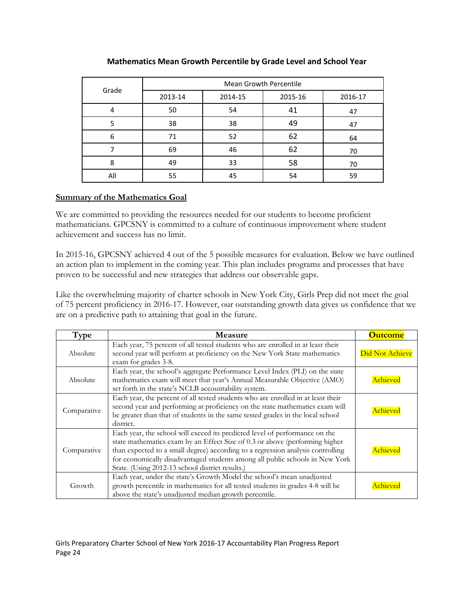| Grade | <b>Mean Growth Percentile</b> |         |         |         |  |  |  |
|-------|-------------------------------|---------|---------|---------|--|--|--|
|       | 2013-14                       | 2014-15 | 2015-16 | 2016-17 |  |  |  |
| 4     | 50                            | 54      | 41      | 47      |  |  |  |
| 5     | 38                            | 38      | 49      | 47      |  |  |  |
| 6     | 71                            | 52      | 62      | 64      |  |  |  |
|       | 69                            | 46      | 62      | 70      |  |  |  |
| 8     | 49                            | 33      | 58      | 70      |  |  |  |
| All   | 55                            | 45      | 54      | 59      |  |  |  |

# **Mathematics Mean Growth Percentile by Grade Level and School Year**

## **Summary of the Mathematics Goal**

We are committed to providing the resources needed for our students to become proficient mathematicians. GPCSNY is committed to a culture of continuous improvement where student achievement and success has no limit.

In 2015-16, GPCSNY achieved 4 out of the 5 possible measures for evaluation. Below we have outlined an action plan to implement in the coming year. This plan includes programs and processes that have proven to be successful and new strategies that address our observable gaps.

Like the overwhelming majority of charter schools in New York City, Girls Prep did not meet the goal of 75 percent proficiency in 2016-17. However, our outstanding growth data gives us confidence that we are on a predictive path to attaining that goal in the future.

| Type        | <b>Measure</b>                                                                                                                                                                                                                                                                                                                                                                   | <b>Outcome</b>  |
|-------------|----------------------------------------------------------------------------------------------------------------------------------------------------------------------------------------------------------------------------------------------------------------------------------------------------------------------------------------------------------------------------------|-----------------|
| Absolute    | Each year, 75 percent of all tested students who are enrolled in at least their<br>second year will perform at proficiency on the New York State mathematics<br>exam for grades 3-8.                                                                                                                                                                                             | Did Not Achieve |
| Absolute    | Each year, the school's aggregate Performance Level Index (PLI) on the state<br>mathematics exam will meet that year's Annual Measurable Objective (AMO)<br>set forth in the state's NCLB accountability system.                                                                                                                                                                 | Achieved        |
| Comparative | Each year, the percent of all tested students who are enrolled in at least their<br>second year and performing at proficiency on the state mathematics exam will<br>be greater than that of students in the same tested grades in the local school<br>district.                                                                                                                  | Achieved        |
| Comparative | Each year, the school will exceed its predicted level of performance on the<br>state mathematics exam by an Effect Size of 0.3 or above (performing higher<br>than expected to a small degree) according to a regression analysis controlling<br>for economically disadvantaged students among all public schools in New York<br>State. (Using 2012-13 school district results.) | Achieved        |
| Growth      | Each year, under the state's Growth Model the school's mean unadjusted<br>growth percentile in mathematics for all tested students in grades 4-8 will be<br>above the state's unadjusted median growth percentile.                                                                                                                                                               | Achieved        |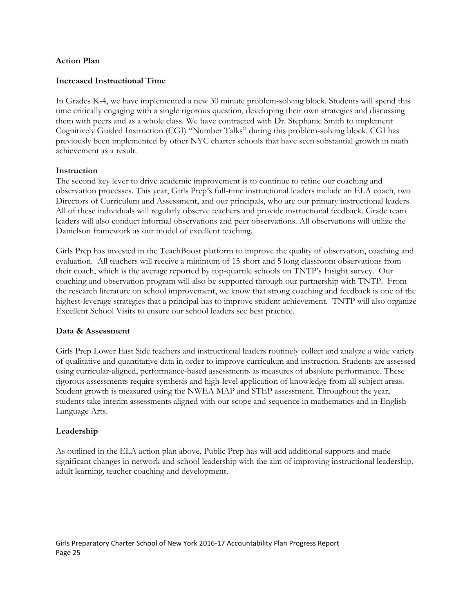#### **Action Plan**

#### **Increased Instructional Time**

In Grades K-4, we have implemented a new 30 minute problem-solving block. Students will spend this time critically engaging with a single rigorous question, developing their own strategies and discussing them with peers and as a whole class. We have contracted with Dr. Stephanie Smith to implement Cognitively Guided Instruction (CGI) "Number Talks" during this problem-solving block. CGI has previously been implemented by other NYC charter schools that have seen substantial growth in math achievement as a result.

#### **Instruction**

The second key lever to drive academic improvement is to continue to refine our coaching and observation processes. This year, Girls Prep's full-time instructional leaders include an ELA coach, two Directors of Curriculum and Assessment, and our principals, who are our primary instructional leaders. All of these individuals will regularly observe teachers and provide instructional feedback. Grade team leaders will also conduct informal observations and peer observations. All observations will utilize the Danielson framework as our model of excellent teaching.

Girls Prep has invested in the TeachBoost platform to improve the quality of observation, coaching and evaluation. All teachers will receive a minimum of 15 short and 5 long classroom observations from their coach, which is the average reported by top-quartile schools on TNTP's Insight survey. Our coaching and observation program will also be supported through our partnership with TNTP. From the research literature on school improvement, we know that strong coaching and feedback is one of the highest-leverage strategies that a principal has to improve student achievement. TNTP will also organize Excellent School Visits to ensure our school leaders see best practice.

#### **Data & Assessment**

Girls Prep Lower East Side teachers and instructional leaders routinely collect and analyze a wide variety of qualitative and quantitative data in order to improve curriculum and instruction. Students are assessed using curricular-aligned, performance-based assessments as measures of absolute performance. These rigorous assessments require synthesis and high-level application of knowledge from all subject areas. Student growth is measured using the NWEA MAP and STEP assessment. Throughout the year, students take interim assessments aligned with our scope and sequence in mathematics and in English Language Arts.

#### **Leadership**

As outlined in the ELA action plan above, Public Prep has will add additional supports and made significant changes in network and school leadership with the aim of improving instructional leadership, adult learning, teacher coaching and development.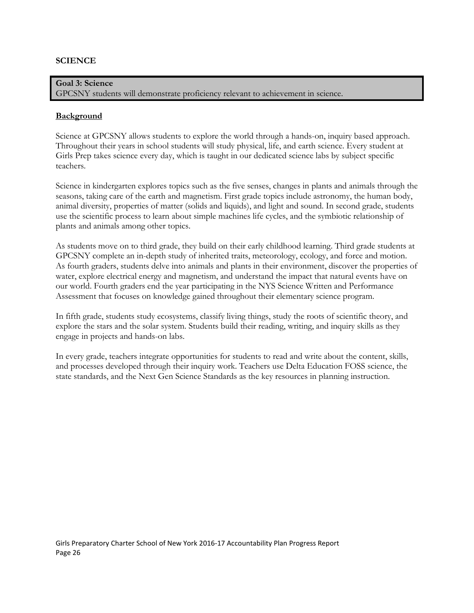#### **SCIENCE**

**Goal 3: Science** GPCSNY students will demonstrate proficiency relevant to achievement in science.

#### **Background**

Science at GPCSNY allows students to explore the world through a hands-on, inquiry based approach. Throughout their years in school students will study physical, life, and earth science. Every student at Girls Prep takes science every day, which is taught in our dedicated science labs by subject specific teachers.

Science in kindergarten explores topics such as the five senses, changes in plants and animals through the seasons, taking care of the earth and magnetism. First grade topics include astronomy, the human body, animal diversity, properties of matter (solids and liquids), and light and sound. In second grade, students use the scientific process to learn about simple machines life cycles, and the symbiotic relationship of plants and animals among other topics.

As students move on to third grade, they build on their early childhood learning. Third grade students at GPCSNY complete an in-depth study of inherited traits, meteorology, ecology, and force and motion. As fourth graders, students delve into animals and plants in their environment, discover the properties of water, explore electrical energy and magnetism, and understand the impact that natural events have on our world. Fourth graders end the year participating in the NYS Science Written and Performance Assessment that focuses on knowledge gained throughout their elementary science program.

In fifth grade, students study ecosystems, classify living things, study the roots of scientific theory, and explore the stars and the solar system. Students build their reading, writing, and inquiry skills as they engage in projects and hands-on labs.

In every grade, teachers integrate opportunities for students to read and write about the content, skills, and processes developed through their inquiry work. Teachers use Delta Education FOSS science, the state standards, and the Next Gen Science Standards as the key resources in planning instruction.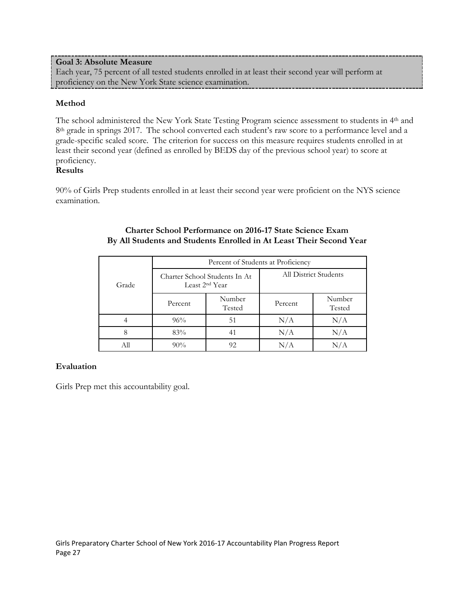## **Goal 3: Absolute Measure**

Each year, 75 percent of all tested students enrolled in at least their second year will perform at proficiency on the New York State science examination.

## **Method**

The school administered the New York State Testing Program science assessment to students in 4th and 8<sup>th</sup> grade in springs 2017. The school converted each student's raw score to a performance level and a grade-specific scaled score. The criterion for success on this measure requires students enrolled in at least their second year (defined as enrolled by BEDS day of the previous school year) to score at proficiency.

# **Results**

90% of Girls Prep students enrolled in at least their second year were proficient on the NYS science examination.

|       | Percent of Students at Proficiency |                                                             |                       |                  |  |  |
|-------|------------------------------------|-------------------------------------------------------------|-----------------------|------------------|--|--|
| Grade |                                    | Charter School Students In At<br>Least 2 <sup>nd</sup> Year | All District Students |                  |  |  |
|       | Percent                            | Number<br>Tested                                            | Percent               | Number<br>Tested |  |  |
|       | 96%                                | 51                                                          | N/A                   | N/A              |  |  |
| 8     | 83%                                | 41                                                          | N/A                   | N/A              |  |  |
|       | 90%                                | 92                                                          |                       |                  |  |  |

#### **Charter School Performance on 2016-17 State Science Exam By All Students and Students Enrolled in At Least Their Second Year**

# **Evaluation**

Girls Prep met this accountability goal.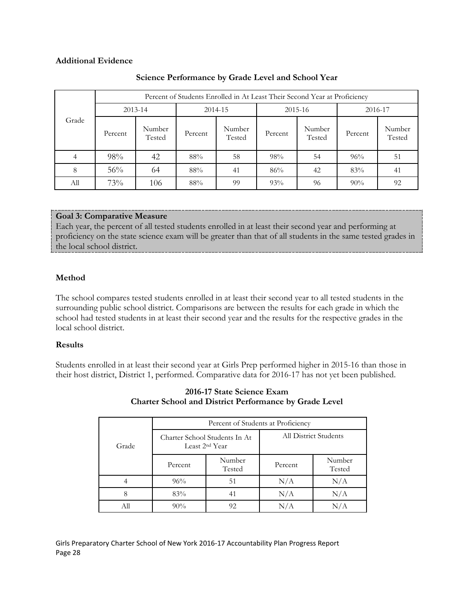#### **Additional Evidence**

|       |             |                  | Percent of Students Enrolled in At Least Their Second Year at Proficiency |                  |         |                  |         |                  |
|-------|-------------|------------------|---------------------------------------------------------------------------|------------------|---------|------------------|---------|------------------|
|       | $2013 - 14$ |                  | 2014-15                                                                   |                  | 2015-16 |                  | 2016-17 |                  |
| Grade | Percent     | Number<br>Tested | Percent                                                                   | Number<br>Tested | Percent | Number<br>Tested | Percent | Number<br>Tested |
|       | 98%         | 42               | 88%                                                                       | 58               | 98%     | 54               | 96%     | 51               |
| 8     | 56%         | 64               | 88%                                                                       | 41               | 86%     | 42               | 83%     | 41               |
| All   | 73%         | 106              | 88%                                                                       | 99               | 93%     | 96               | 90%     | 92               |

# **Science Performance by Grade Level and School Year**

# **Goal 3: Comparative Measure**

Each year, the percent of all tested students enrolled in at least their second year and performing at proficiency on the state science exam will be greater than that of all students in the same tested grades in the local school district.

# **Method**

The school compares tested students enrolled in at least their second year to all tested students in the surrounding public school district. Comparisons are between the results for each grade in which the school had tested students in at least their second year and the results for the respective grades in the local school district.

# **Results**

Students enrolled in at least their second year at Girls Prep performed higher in 2015-16 than those in their host district, District 1, performed. Comparative data for 2016-17 has not yet been published.

|       | Percent of Students at Proficiency |                                                             |                              |                  |  |  |
|-------|------------------------------------|-------------------------------------------------------------|------------------------------|------------------|--|--|
| Grade |                                    | Charter School Students In At<br>Least 2 <sup>nd</sup> Year | <b>All District Students</b> |                  |  |  |
|       | Percent                            | Number<br>Tested                                            | Percent                      | Number<br>Tested |  |  |
|       | 96%                                | 51                                                          | N/A                          | N/A              |  |  |
| 8     | 83%                                | 41                                                          | N/A                          | N/A              |  |  |
| All   | $90\%$                             | 92                                                          | N/A                          |                  |  |  |

**2016-17 State Science Exam Charter School and District Performance by Grade Level**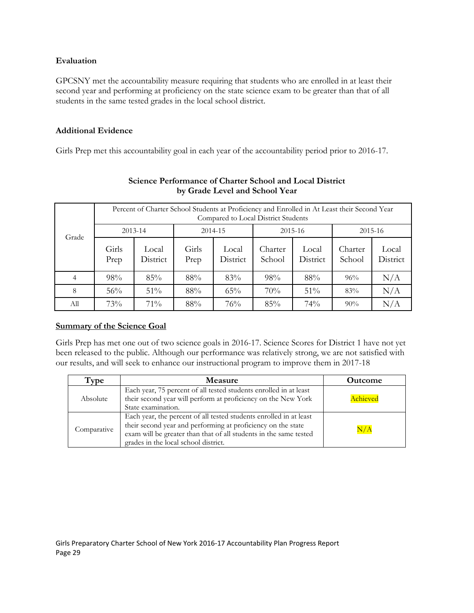## **Evaluation**

GPCSNY met the accountability measure requiring that students who are enrolled in at least their second year and performing at proficiency on the state science exam to be greater than that of all students in the same tested grades in the local school district.

## **Additional Evidence**

Girls Prep met this accountability goal in each year of the accountability period prior to 2016-17.

|                | Percent of Charter School Students at Proficiency and Enrolled in At Least their Second Year<br>Compared to Local District Students |                   |               |                   |                   |                   |                   |                   |
|----------------|-------------------------------------------------------------------------------------------------------------------------------------|-------------------|---------------|-------------------|-------------------|-------------------|-------------------|-------------------|
| Grade          |                                                                                                                                     | $2013 - 14$       |               | 2014-15           |                   | 2015-16           |                   | 2015-16           |
|                | Girls<br>Prep                                                                                                                       | Local<br>District | Girls<br>Prep | Local<br>District | Charter<br>School | Local<br>District | Charter<br>School | Local<br>District |
| $\overline{4}$ | 98%                                                                                                                                 | 85%               | 88%           | 83%               | 98%               | 88%               | 96%               | N/A               |
| 8              | 56%                                                                                                                                 | $51\%$            | 88%           | 65%               | 70%               | $51\%$            | 83%               | N/A               |
| Аll            | 73%                                                                                                                                 | 71%               | 88%           | 76%               | 85%               | 74%               | $90\%$            | N/A               |

# **Science Performance of Charter School and Local District by Grade Level and School Year**

# **Summary of the Science Goal**

Girls Prep has met one out of two science goals in 2016-17. Science Scores for District 1 have not yet been released to the public. Although our performance was relatively strong, we are not satisfied with our results, and will seek to enhance our instructional program to improve them in 2017-18

| Type        | <b>Measure</b>                                                                                                                                                                                                                                  | <b>Outcome</b> |
|-------------|-------------------------------------------------------------------------------------------------------------------------------------------------------------------------------------------------------------------------------------------------|----------------|
| Absolute    | Each year, 75 percent of all tested students enrolled in at least<br>their second year will perform at proficiency on the New York<br>State examination.                                                                                        | Achieved       |
| Comparative | Each year, the percent of all tested students enrolled in at least<br>their second year and performing at proficiency on the state<br>exam will be greater than that of all students in the same tested<br>grades in the local school district. | $\rm N/A$      |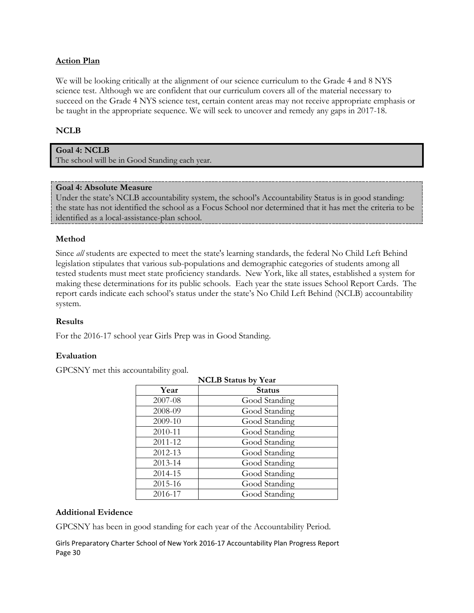## **Action Plan**

We will be looking critically at the alignment of our science curriculum to the Grade 4 and 8 NYS science test. Although we are confident that our curriculum covers all of the material necessary to succeed on the Grade 4 NYS science test, certain content areas may not receive appropriate emphasis or be taught in the appropriate sequence. We will seek to uncover and remedy any gaps in 2017-18.

#### **NCLB**

**Goal 4: NCLB** The school will be in Good Standing each year.

#### **Goal 4: Absolute Measure**

Under the state's NCLB accountability system, the school's Accountability Status is in good standing: the state has not identified the school as a Focus School nor determined that it has met the criteria to be identified as a local-assistance-plan school.

#### **Method**

Since *all* students are expected to meet the state's learning standards, the federal No Child Left Behind legislation stipulates that various sub-populations and demographic categories of students among all tested students must meet state proficiency standards. New York, like all states, established a system for making these determinations for its public schools. Each year the state issues School Report Cards. The report cards indicate each school's status under the state's No Child Left Behind (NCLB) accountability system.

#### **Results**

For the 2016-17 school year Girls Prep was in Good Standing.

#### **Evaluation**

GPCSNY met this accountability goal.

| <b>NCLB</b> Status by Year |               |  |  |  |
|----------------------------|---------------|--|--|--|
| Year                       | <b>Status</b> |  |  |  |
| 2007-08                    | Good Standing |  |  |  |
| 2008-09                    | Good Standing |  |  |  |
| 2009-10                    | Good Standing |  |  |  |
| 2010-11                    | Good Standing |  |  |  |
| 2011-12                    | Good Standing |  |  |  |
| 2012-13                    | Good Standing |  |  |  |
| 2013-14                    | Good Standing |  |  |  |
| 2014-15                    | Good Standing |  |  |  |
| 2015-16                    | Good Standing |  |  |  |
| 2016-17                    | Good Standing |  |  |  |

#### **Additional Evidence**

GPCSNY has been in good standing for each year of the Accountability Period.